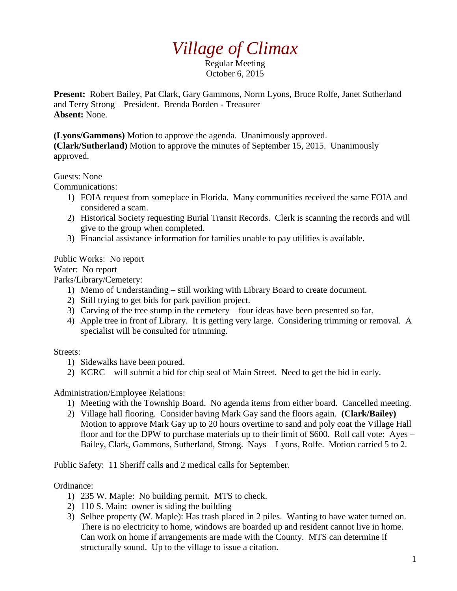# *Village of Climax*

Regular Meeting October 6, 2015

**Present:** Robert Bailey, Pat Clark, Gary Gammons, Norm Lyons, Bruce Rolfe, Janet Sutherland and Terry Strong – President. Brenda Borden - Treasurer **Absent:** None.

**(Lyons/Gammons)** Motion to approve the agenda. Unanimously approved.

**(Clark/Sutherland)** Motion to approve the minutes of September 15, 2015. Unanimously approved.

### Guests: None

Communications:

- 1) FOIA request from someplace in Florida. Many communities received the same FOIA and considered a scam.
- 2) Historical Society requesting Burial Transit Records. Clerk is scanning the records and will give to the group when completed.
- 3) Financial assistance information for families unable to pay utilities is available.

Public Works: No report

Water: No report

Parks/Library/Cemetery:

- 1) Memo of Understanding still working with Library Board to create document.
- 2) Still trying to get bids for park pavilion project.
- 3) Carving of the tree stump in the cemetery four ideas have been presented so far.
- 4) Apple tree in front of Library. It is getting very large. Considering trimming or removal. A specialist will be consulted for trimming.

#### Streets:

- 1) Sidewalks have been poured.
- 2) KCRC will submit a bid for chip seal of Main Street. Need to get the bid in early.

Administration/Employee Relations:

- 1) Meeting with the Township Board. No agenda items from either board. Cancelled meeting.
- 2) Village hall flooring. Consider having Mark Gay sand the floors again. **(Clark/Bailey)** Motion to approve Mark Gay up to 20 hours overtime to sand and poly coat the Village Hall floor and for the DPW to purchase materials up to their limit of \$600. Roll call vote: Ayes – Bailey, Clark, Gammons, Sutherland, Strong. Nays – Lyons, Rolfe. Motion carried 5 to 2.

Public Safety: 11 Sheriff calls and 2 medical calls for September.

## Ordinance:

- 1) 235 W. Maple: No building permit. MTS to check.
- 2) 110 S. Main: owner is siding the building
- 3) Selbee property (W. Maple): Has trash placed in 2 piles. Wanting to have water turned on. There is no electricity to home, windows are boarded up and resident cannot live in home. Can work on home if arrangements are made with the County. MTS can determine if structurally sound. Up to the village to issue a citation.